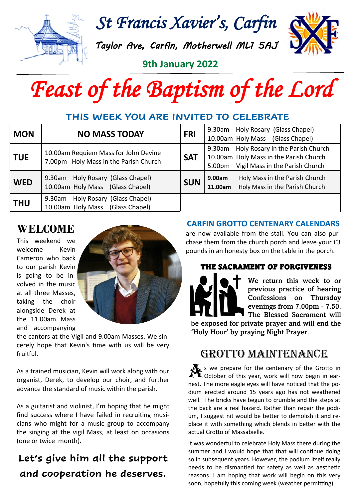

*St Francis Xavier's, Carfin* 

*Taylor Ave, Carfin, Motherwell ML1 5AJ* 



**9th January 2022** 

# *Feast of the Baptism of the Lord*

## **THIS WEEK YOU ARE INVITED TO CELEBRATE**

| <b>MON</b> | <b>NO MASS TODAY</b>                                                          | <b>FRI</b> | Holy Rosary (Glass Chapel)<br>9.30am<br>10.00am Holy Mass (Glass Chapel)                                                                      |
|------------|-------------------------------------------------------------------------------|------------|-----------------------------------------------------------------------------------------------------------------------------------------------|
| <b>TUE</b> | 10.00am Requiem Mass for John Devine<br>7.00pm Holy Mass in the Parish Church | <b>SAT</b> | Holy Rosary in the Parish Church<br>9.30am<br>10.00am Holy Mass in the Parish Church<br>Vigil Mass in the Parish Church<br>5.00 <sub>pm</sub> |
| <b>WED</b> | Holy Rosary (Glass Chapel)<br>9.30am<br>10.00am Holy Mass (Glass Chapel)      | <b>SUN</b> | Holy Mass in the Parish Church<br>9.00am<br>Holy Mass in the Parish Church<br>11.00am                                                         |
| <b>THU</b> | Holy Rosary (Glass Chapel)<br>9.30am<br>10.00am Holy Mass (Glass Chapel)      |            |                                                                                                                                               |

# **WELCOME**

This weekend we welcome Kevin Cameron who back to our parish Kevin is going to be involved in the music at all three Masses, taking the choir alongside Derek at the 11.00am Mass and accompanying



the cantors at the Vigil and 9.00am Masses. We sincerely hope that Kevin's time with us will be very fruitful.

As a trained musician, Kevin will work along with our organist, Derek, to develop our choir, and further advance the standard of music within the parish.

As a guitarist and violinist, I'm hoping that he might find success where I have failed in recruiting musicians who might for a music group to accompany the singing at the vigil Mass, at least on occasions (one or twice month).

# **Let's give him all the support and cooperation he deserves.**

#### **CARFIN GROTTO CENTENARY CALENDARS**

are now available from the stall. You can also purchase them from the church porch and leave your £3 pounds in an honesty box on the table in the porch.

### THE SACRAMENT OF FORGIVENESS



We return this week to or previous practice of hearing Confessions on Thursday evenings from 7.00pm - 7.50. The Blessed Sacrament will

be exposed for private prayer and will end the 'Holy Hour' by praying Night Prayer.

# GROTTO MAINTENANCE

A s we prepare for the centenary of the Grotto in October of this year, work will now begin in earnest. The more eagle eyes will have noticed that the podium erected around 15 years ago has not weathered well. The bricks have begun to crumble and the steps at the back are a real hazard. Rather than repair the podium, I suggest nit would be better to demolish it and replace it with something which blends in better with the actual Grotto of Massabielle.

It was wonderful to celebrate Holy Mass there during the summer and I would hope that that will continue doing so in subsequent years. However, the podium itself really needs to be dismantled for safety as well as aesthetic reasons. I am hoping that work will begin on this very soon, hopefully this coming week (weather permitting).